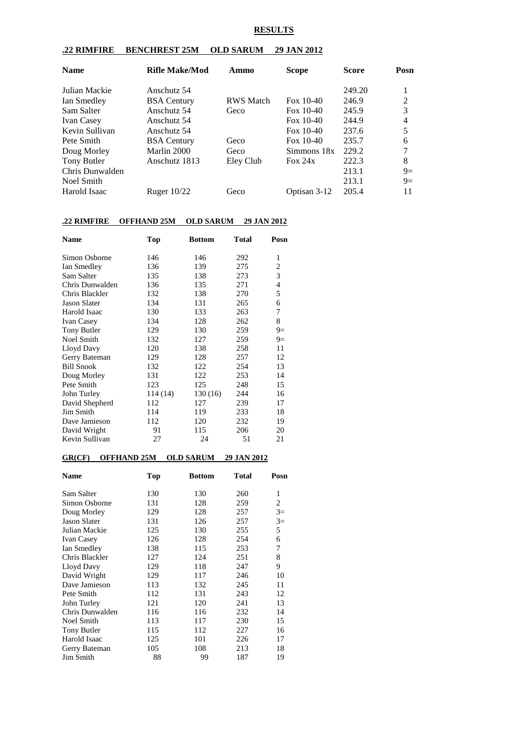#### **RESULTS**

#### **.22 RIMFIRE BENCHREST 25M OLD SARUM 29 JAN 2012**

| <b>Name</b>       | <b>Rifle Make/Mod</b> | Ammo             | Scope        | <b>Score</b> | Posn |
|-------------------|-----------------------|------------------|--------------|--------------|------|
| Julian Mackie     | Anschutz 54           |                  |              | 249.20       |      |
| Ian Smedley       | <b>BSA</b> Century    | <b>RWS</b> Match | Fox $10-40$  | 246.9        | 2    |
| Sam Salter        | Anschutz 54           | Geco             | Fox $10-40$  | 245.9        | 3    |
| <b>Ivan Casey</b> | Anschutz 54           |                  | Fox $10-40$  | 244.9        | 4    |
| Kevin Sullivan    | Anschutz 54           |                  | Fox $10-40$  | 237.6        | 5    |
| Pete Smith        | <b>BSA</b> Century    | Geco             | Fox $10-40$  | 235.7        | 6    |
| Doug Morley       | Marlin 2000           | Geco             | Simmons 18x  | 229.2        | 7    |
| Tony Butler       | Anschutz 1813         | Eley Club        | Fox $24x$    | 222.3        | 8    |
| Chris Dunwalden   |                       |                  |              | 213.1        | $9=$ |
| Noel Smith        |                       |                  |              | 213.1        | $9=$ |
| Harold Isaac      | Ruger $10/22$         | Geco             | Optisan 3-12 | 205.4        | 11   |

### **.22 RIMFIRE OFFHAND 25M OLD SARUM 29 JAN 2012**

| <b>Name</b>         | Top     | <b>Bottom</b> | <b>Total</b> | Posn                     |
|---------------------|---------|---------------|--------------|--------------------------|
| Simon Osborne       | 146     | 146           | 292          | 1                        |
| Ian Smedley         | 136     | 139           | 275          | 2                        |
| Sam Salter          | 135     | 138           | 273          | 3                        |
| Chris Dunwalden     | 136     | 135           | 271          | $\overline{\mathcal{L}}$ |
| Chris Blackler      | 132     | 138           | 270          | 5                        |
| <b>Jason Slater</b> | 134     | 131           | 265          | 6                        |
| Harold Isaac        | 130     | 133           | 263          | 7                        |
| <b>Ivan Casey</b>   | 134     | 128           | 262          | 8                        |
| Tony Butler         | 129     | 130           | 259          | $9=$                     |
| Noel Smith          | 132     | 127           | 259          | $9=$                     |
| Lloyd Davy          | 120     | 138           | 258          | 11                       |
| Gerry Bateman       | 129     | 128           | 257          | 12                       |
| <b>Bill Snook</b>   | 132     | 122           | 254          | 13                       |
| Doug Morley         | 131     | 122           | 253          | 14                       |
| Pete Smith          | 123     | 125           | 248          | 15                       |
| John Turley         | 114(14) | 130 (16)      | 244          | 16                       |
| David Shepherd      | 112     | 127           | 239          | 17                       |
| Jim Smith           | 114     | 119           | 233          | 18                       |
| Dave Jamieson       | 112     | 120           | 232          | 19                       |
| David Wright        | 91      | 115           | 206          | 20                       |
| Kevin Sullivan      | 27      | 24            | 51           | 21                       |

#### **GR(CF) OFFHAND 25M OLD SARUM 29 JAN 2012**

| <b>Name</b>         | <b>Top</b> | <b>Bottom</b> | <b>Total</b> | Posn |
|---------------------|------------|---------------|--------------|------|
| Sam Salter          | 130        | 130           | 260          | 1    |
| Simon Osborne       | 131        | 128           | 259          | 2    |
| Doug Morley         | 129        | 128           | 257          | $3=$ |
| <b>Jason Slater</b> | 131        | 126           | 257          | $3=$ |
| Julian Mackie       | 125        | 130           | 255          | 5    |
| Ivan Casey          | 126        | 128           | 254          | 6    |
| Ian Smedley         | 138        | 115           | 253          | 7    |
| Chris Blackler      | 127        | 124           | 251          | 8    |
| Lloyd Davy          | 129        | 118           | 247          | 9    |
| David Wright        | 129        | 117           | 246          | 10   |
| Dave Jamieson       | 113        | 132           | 245          | 11   |
| Pete Smith          | 112        | 131           | 243          | 12   |
| John Turley         | 121        | 120           | 241          | 13   |
| Chris Dunwalden     | 116        | 116           | 232          | 14   |
| Noel Smith          | 113        | 117           | 230          | 15   |
| Tony Butler         | 115        | 112           | 227          | 16   |
| Harold Isaac        | 125        | 101           | 226          | 17   |
| Gerry Bateman       | 105        | 108           | 213          | 18   |
| Jim Smith           | 88         | 99            | 187          | 19   |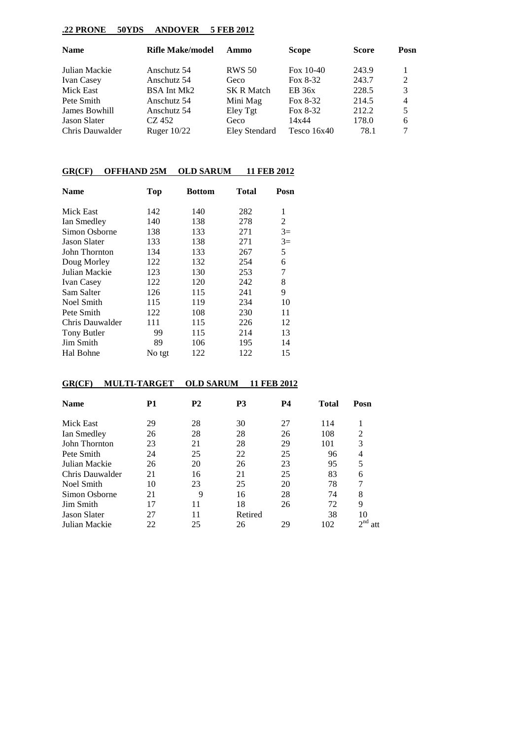## **.22 PRONE 50YDS ANDOVER 5 FEB 2012**

| <b>Name</b>         | <b>Rifle Make/model</b> | Ammo              | <b>Scope</b>  | <b>Score</b> | Posn           |
|---------------------|-------------------------|-------------------|---------------|--------------|----------------|
| Julian Mackie       | Anschutz 54             | <b>RWS 50</b>     | Fox $10-40$   | 243.9        |                |
| <b>Ivan Casey</b>   | Anschutz 54             | Geco              | Fox $8-32$    | 243.7        | 2              |
| Mick East           | BSA Int Mk2             | <b>SK R Match</b> | EB 36x        | 228.5        | 3              |
| Pete Smith          | Anschutz 54             | Mini Mag          | Fox $8-32$    | 214.5        | $\overline{4}$ |
| James Bowhill       | Anschutz 54             | Eley Tgt          | Fox $8-32$    | 212.2        | 5              |
| <b>Jason Slater</b> | CZ 452                  | Geco              | 14x44         | 178.0        | 6              |
| Chris Dauwalder     | Ruger $10/22$           | Eley Stendard     | Tesco $16x40$ | 78.1         |                |

## **GR(CF) OFFHAND 25M OLD SARUM 11 FEB 2012**

| <b>Name</b>         | <b>Top</b> | Bottom | Total | Posn |
|---------------------|------------|--------|-------|------|
| Mick East           | 142        | 140    | 282   | 1    |
| Ian Smedley         | 140        | 138    | 278   | 2    |
| Simon Osborne       | 138        | 133    | 271   | $3=$ |
| <b>Jason Slater</b> | 133        | 138    | 271   | $3=$ |
| John Thornton       | 134        | 133    | 267   | 5    |
| Doug Morley         | 122        | 132    | 254   | 6    |
| Julian Mackie       | 123        | 130    | 253   | 7    |
| <b>Ivan Casey</b>   | 122        | 120    | 242   | 8    |
| Sam Salter          | 126        | 115    | 241   | 9    |
| Noel Smith          | 115        | 119    | 234   | 10   |
| Pete Smith          | 122        | 108    | 230   | 11   |
| Chris Dauwalder     | 111        | 115    | 226   | 12   |
| Tony Butler         | 99         | 115    | 214   | 13   |
| Jim Smith           | 89         | 106    | 195   | 14   |
| Hal Bohne           | No tgt     | 122    | 122   | 15   |

## **GR(CF) MULTI-TARGET OLD SARUM 11 FEB 2012**

| <b>Name</b>         | P1 | <b>P2</b> | P <sub>3</sub> | <b>P4</b> | <b>Total</b> | Posn               |
|---------------------|----|-----------|----------------|-----------|--------------|--------------------|
| Mick East           | 29 | 28        | 30             | 27        | 114          |                    |
| Ian Smedley         | 26 | 28        | 28             | 26        | 108          | $\overline{2}$     |
| John Thornton       | 23 | 21        | 28             | 29        | 101          | 3                  |
| Pete Smith          | 24 | 25        | 22             | 25        | 96           | 4                  |
| Julian Mackie       | 26 | 20        | 26             | 23        | 95           | 5                  |
| Chris Dauwalder     | 21 | 16        | 21             | 25        | 83           | 6                  |
| Noel Smith          | 10 | 23        | 25             | 20        | 78           | 7                  |
| Simon Osborne       | 21 | 9         | 16             | 28        | 74           | 8                  |
| Jim Smith           | 17 | 11        | 18             | 26        | 72           | 9                  |
| <b>Jason Slater</b> | 27 | 11        | Retired        |           | 38           | 10                 |
| Julian Mackie       | 22 | 25        | 26             | 29        | 102          | $\gamma$ nd<br>att |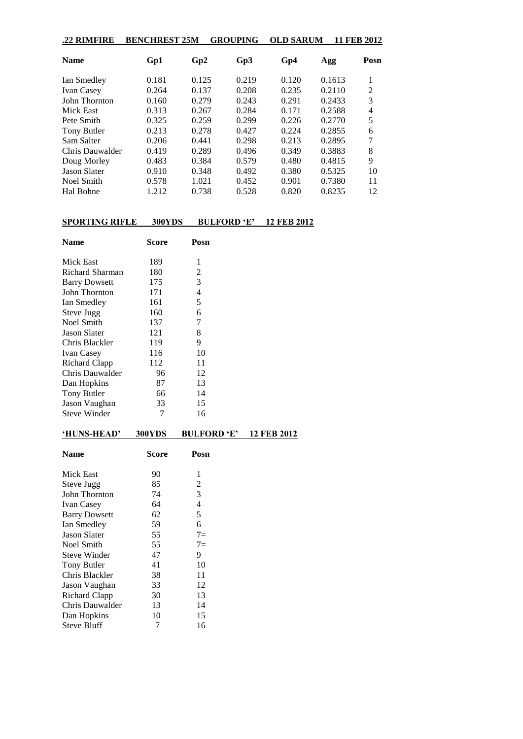| .22 RIMFIRE         | <b>BENCHREST 25M</b> |       | <b>GROUPING</b> | <b>OLD SARUM</b> |        | 11 FEB 2012 |
|---------------------|----------------------|-------|-----------------|------------------|--------|-------------|
| <b>Name</b>         | Gp1                  | Gp2   | Gp3             | Gp4              | Agg    | Posn        |
| Ian Smedley         | 0.181                | 0.125 | 0.219           | 0.120            | 0.1613 | 1           |
| <b>Ivan Casey</b>   | 0.264                | 0.137 | 0.208           | 0.235            | 0.2110 | 2           |
| John Thornton       | 0.160                | 0.279 | 0.243           | 0.291            | 0.2433 | 3           |
| Mick East           | 0.313                | 0.267 | 0.284           | 0.171            | 0.2588 | 4           |
| Pete Smith          | 0.325                | 0.259 | 0.299           | 0.226            | 0.2770 | 5           |
| Tony Butler         | 0.213                | 0.278 | 0.427           | 0.224            | 0.2855 | 6           |
| Sam Salter          | 0.206                | 0.441 | 0.298           | 0.213            | 0.2895 | 7           |
| Chris Dauwalder     | 0.419                | 0.289 | 0.496           | 0.349            | 0.3883 | 8           |
| Doug Morley         | 0.483                | 0.384 | 0.579           | 0.480            | 0.4815 | 9           |
| <b>Jason Slater</b> | 0.910                | 0.348 | 0.492           | 0.380            | 0.5325 | 10          |
| Noel Smith          | 0.578                | 1.021 | 0.452           | 0.901            | 0.7380 | 11          |
| Hal Bohne           | 1.212                | 0.738 | 0.528           | 0.820            | 0.8235 | 12          |

# **SPORTING RIFLE 300YDS BULFORD 'E' 12 FEB 2012**

| <b>Name</b>          | Score | Posn |
|----------------------|-------|------|
| Mick East            | 189   | 1    |
| Richard Sharman      | 180   | 2    |
| <b>Barry Dowsett</b> | 175   | 3    |
| John Thornton        | 171   | 4    |
| Ian Smedley          | 161   | 5    |
| Steve Jugg           | 160   | 6    |
| Noel Smith           | 137   | 7    |
| <b>Jason Slater</b>  | 121   | 8    |
| Chris Blackler       | 119   | 9    |
| <b>Ivan Casey</b>    | 116   | 10   |
| Richard Clapp        | 112   | 11   |
| Chris Dauwalder      | 96    | 12   |
| Dan Hopkins          | 87    | 13   |
| Tony Butler          | 66    | 14   |
| Jason Vaughan        | 33    | 15   |
| <b>Steve Winder</b>  | 7     | 16   |
|                      |       |      |

# **'HUNS-HEAD' 300YDS BULFORD 'E' 12 FEB 2012**

| Name                 | Score | Posn  |
|----------------------|-------|-------|
| Mick East            | 90    | 1     |
| Steve Jugg           | 85    | 2     |
| John Thornton        | 74    | 3     |
| <b>Ivan Casey</b>    | 64    | 4     |
| <b>Barry Dowsett</b> | 62    | 5     |
| Ian Smedley          | 59    | 6     |
| <b>Jason Slater</b>  | 55    | $7 =$ |
| Noel Smith           | 55    | $7 =$ |
| <b>Steve Winder</b>  | 47    | 9     |
| Tony Butler          | 41    | 10    |
| Chris Blackler       | 38    | 11    |
| Jason Vaughan        | 33    | 12    |
| Richard Clapp        | 30    | 13    |
| Chris Dauwalder      | 13    | 14    |
| Dan Hopkins          | 10    | 15    |
| <b>Steve Bluff</b>   | 7     | 16    |